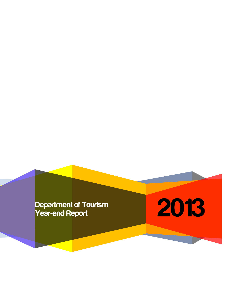**Year-end Report**

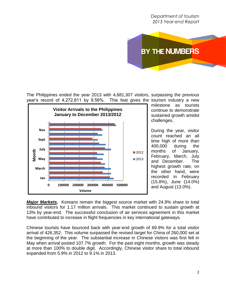*Department of tourism 2013 Year-end Report*



The Philippines ended the year 2013 with 4,681,307 visitors, surpassing the previous year's record of 4,272,811 by 9.56%. This feat gives the tourism industry a new



milestone as tourists continue to demonstrate sustained growth amidst challenges.

During the year, visitor count reached an all time high of more than 400,000 during the months of January, February, March, July and December. The highest growth rate, on the other hand, were recorded in February (15.8%), June (14.0%) and August (13.0%).

*Major Markets.* Koreans remain the biggest source market with 24.9% share to total inbound visitors for 1.17 million arrivals. This market continued to sustain growth at 13% by year-end. The successful conclusion of air services agreement in this market have contributed to increase in flight frequencies in key international gateways.

Chinese tourists have bounced back with year-end growth of 69.9% for a total visitor arrival of 426,352. This volume surpassed the revised target for China of 260,000 set at the beginning of the year. The substantial increase in Chinese visitors was first felt in May when arrival posted 107.7% growth. For the past eight months, growth was steady at more than 100% to double digit. Accordingly, Chinese visitor share to total inbound expanded from 5.9% in 2012 to 9.1% in 2013.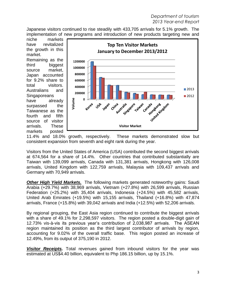Japanese visitors continued to rise steadily with 433,705 arrivals for 5.1% growth. The implementation of new programs and introduction of new products targeting new and

niche markets have revitalized the growth in this market. Remaining as the

third biggest source market, Japan accounted for 9.2% share to total visitors. Australians and **Singaporeans** have already surpassed the Taiwanese as the fourth and fifth source of visitor arrivals. These markets posted



11.4% and 18.0% growth, respectively. These markets demonstrated slow but consistent expansion from seventh and eight rank during the year.

Visitors from the United States of America (USA) contributed the second biggest arrivals at 674,564 for a share of 14.4%. Other countries that contributed substantially are Taiwan with 139,099 arrivals, Canada with 131,381 arrivals, Hongkong with 126,008 arrivals, United Kingdom with 122,759 arrivals, Malaysia with 109,437 arrivals and Germany with 70,949 arrivals.

*Other High Yield Markets.* The following markets generated noteworthy gains: Saudi Arabia (+29.7%) with 38,969 arrivals, Vietnam (+27.8%) with 26,599 arrivals, Russian Federation (+25.2%) with 35,404 arrivals, Indonesia (+24.5%) with 45,582 arrivals, United Arab Emirates (+19.5%) with 15,155 arrivals, Thailand (+16.8%) with 47,874 arrivals, France (+15.8%) with 39,042 arrivals and India (+12.5%) with 52,206 arrivals.

By regional grouping, the East Asia region continued to contribute the biggest arrivals with a share of 49.1% for 2,298,597 visitors. The region posted a double-digit gain of 12.73% vis-à-vis its previous year's contribution of 2,038,987 arrivals. The ASEAN region maintained its position as the third largest contributor of arrivals by region, accounting for 9.02% of the overall traffic base. This region posted an increase of 12.49%, from its output of 375,190 in 2012.

*Visitor Receipts.* Total revenues gained from inbound visitors for the year was estimated at US\$4.40 billion, equivalent to Php 186.15 billion, up by 15.1%.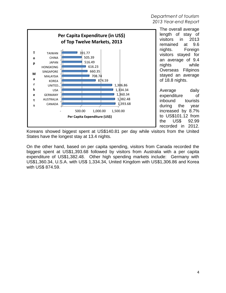#### *Department of tourism 2013 Year-end Report*



The overall average length of stay of visitors in 2013 remained at 9.6 nights. Foreign visitors stayed for an average of 9.4 nights while Overseas Filipinos stayed an average of 18.8 nights.

Average daily expenditure of inbound tourists during the year increased by 8.7% to US\$101.12 from the US\$ 92.99 recorded in 2012.

Koreans showed biggest spent at US\$140.81 per day while visitors from the United States have the longest stay at 13.4 nights.

On the other hand, based on per capita spending, visitors from Canada recorded the biggest spent at US\$1,393.68 followed by visitors from Australia with a per capita expenditure of US\$1,382.48. Other high spending markets include: Germany with US\$1,360.34, U.S.A. with US\$ 1,334.34, United Kingdom with US\$1,306.86 and Korea with US\$ 874.59.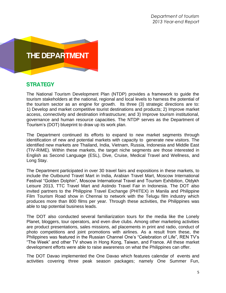

# **STRATEGY**

The National Tourism Development Plan (NTDP) provides a framework to guide the tourism stakeholders at the national, regional and local levels to harness the potential of the tourism sector as an engine for growth. Its three (3) strategic directions are to: 1) Develop and market competitive tourist destinations and products; 2) Improve market access, connectivity and destination infrastructure; and 3) Improve tourism institutional, governance and human resource capacities. The NTDP serves as the Department of Tourism's (DOT) blueprint to draw up its work plan.

The Department continued its efforts to expand to new market segments through identification of new and potential markets with capacity to generate new visitors. The identified new markets are Thailand, India, Vietnam, Russia, Indonesia and Middle East (TIV-RIME). Within these markets, the target niche segments are those interested in English as Second Language (ESL), Dive, Cruise, Medical Travel and Wellness, and Long Stay.

The Department participated in over 30 travel fairs and expositions in these markets, to include the Outbound Travel Mart in India, Arabian Travel Mart, Moscow International Festival "Golden Dolphin", Moscow International Travel and Tourism Exhibition, Otdykh Leisure 2013, TTC Travel Mart and Astindo Travel Fair in Indonesia. The DOT also invited partners to the Philippine Travel Exchange (PHITEX) in Manila and Philippine Film Tourism Road show in Chennai to network with the Telugu film industry which produces more than 800 films per year. Through these activities, the Philippines was able to tap potential business leads.

The DOT also conducted several familiarization tours for the media like the Lonely Planet, bloggers, tour operators, and even dive clubs. Among other marketing activities are product presentations, sales missions, ad placements in print and radio, conduct of photo competitions and joint promotions with airlines. As a result from these, the Philippines was featured in the Russian Channel One's "Celebration of Life", REN TV's "The Week" and other TV shows in Hong Kong, Taiwan, and France. All these market development efforts were able to raise awareness on what the Philippines can offer.

The DOT Davao implemented the One Davao which features calendar of events and activities covering three peak season packages; namely One Summer Fun,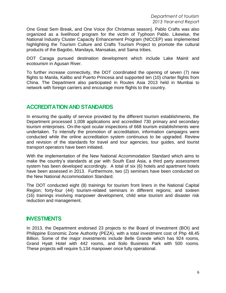One Great Sem Break, and One Voice (for Christmas season). Pablo Crafts was also organized as a livelihood program for the victim of Typhoon Pablo. Likewise, the National Industry Cluster Capacity Enhancement Program (NICCEP) was implemented highlighting the Tourism Culture and Crafts Tourism Project to promote the cultural products of the Bagobo, Mandaya, Mansakas, and Sama tribes.

DOT Caraga pursued destination development which include Lake Mainit and ecotourism in Agusan River.

To further increase connectivity, the DOT coordinated the opening of seven (7) new flights to Manila, Kalibo and Puerto Princesa and supported ten (10) charter flights from China. The Department also participated in Routes Asia 2013 held in Mumbai to network with foreign carriers and encourage more flights to the country.

## **ACCREDITATION AND STANDARDS**

In ensuring the quality of service provided by the different tourism establishments, the Department processed 1,008 applications and accredited 730 primary and secondary tourism enterprises. On-the-spot ocular inspections of 668 tourism establishments were undertaken. To intensify the promotion of accreditation, information campaigns were conducted while the online accreditation system continuous to be upgraded. Review and revision of the standards for travel and tour agencies, tour guides, and tourist transport operators have been initiated.

With the implementation of the New National Accommodation Standard which aims to make the country's standards at par with South East Asia, a third party assessment system has been developed accordingly. A total of six (6) hotels and apartment hotels have been assessed in 2013. Furthermore, two (2) seminars have been conducted on the New National Accommodation Standard.

The DOT conducted eight (8) trainings for tourism front liners in the National Capital Region; forty-four (44) tourism-related seminars in different regions; and sixteen (16) trainings involving manpower development, child wise tourism and disaster risk reduction and management.

#### **INVESTMENTS**

In 2013, the Department endorsed 23 projects to the Board of Investment (BOI) and Philippine Economic Zone Authority (PEZA), with a total investment cost of Php 48.45 Billion. Some of the major investments include Belle Grande which has 924 rooms, Grand Hyatt Hotel with 442 rooms, and Iloilo Business Park with 500 rooms. These projects will require 5,134 manpower once fully operational.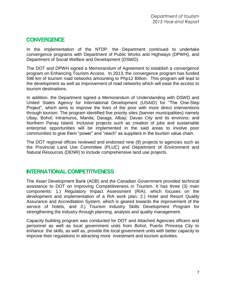### **CONVERGENCE**

In the implementation of the NTDP, the Department continued to undertake convergence programs with Department of Public Works and Highways (DPWH), and Department of Social Welfare and Development (DSWD).

The DOT and DPWH signed a Memorandum of Agreement to establish a convergence program on Enhancing Tourism Access. In 2013, the convergence program has funded 598 km of tourism road networks amounting to Php12 Billion. This program will lead to the development as well as improvement of road networks which will ease the access to tourism destinations.

In addition, the Department signed a Memorandum of Understanding with DSWD and United States Agency for International Development (USAID) for "The One-Step Project", which aims to improve the lives of the poor with more direct interventions through tourism. The program identified five priority sites (banner municipalities) namely Ubay, Bohol; Intramuros, Manila; Daraga, Albay; Davao City and its environs; and Northern Panay Island. Inclusive projects such as creation of jobs and sustainable enterprise opportunities will be implemented in the said areas to involve poor communities to give them "power" and "reach" as suppliers in the tourism value chain.

The DOT regional offices reviewed and endorsed nine (9) projects to agencies such as the Provincial Land Use Committee (PLUC) and Department of Environment and Natural Resources (DENR) to include comprehensive land use projects.

#### **INTERNATIONAL COMPETITIVENESS**

The Asian Development Bank (ADB) and the Canadian Government provided technical assistance to DOT on Improving Competitiveness in Tourism. It has three (3) main components: 1.) Regulatory Impact Assessment (RIA), which focuses on the development and implementation of a RIA work plan; 2.) Hotel and Resort Quality Assurance and Accreditation System, which is geared towards the improvement of the service of hotels, and 3.) Tourism Industry Skills Development Program for strengthening the industry through planning, analysis and quality management.

Capacity building program was conducted for DOT and Attached Agencies officers and personnel as well as local government units from Bohol, Puerto Princesa City to enhance the skills, as well as, provide the local government units with better capacity to improve their regulations in attracting more investment and tourism activities.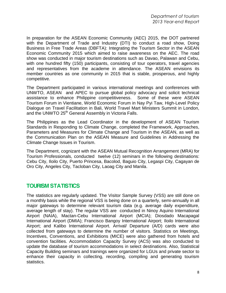In preparation for the ASEAN Economic Community (AEC) 2015, the DOT partnered with the Department of Trade and Industry (DTI) to conduct a road show, Doing Business in Free Trade Areas (DBFTA): Integrating the Tourism Sector in the ASEAN Economic Community 2015 which aimed to raise awareness on the AEC. The road show was conducted in major tourism destinations such as Davao, Palawan and Cebu, with one hundred fifty (150) participants, consisting of tour operators, travel agencies and representatives from the academe in attendance. The ASEAN envisions its member countries as one community in 2015 that is stable, prosperous, and highly competitive.

The Department participated in various international meetings and conferences with UNWTO, ASEAN and APEC to pursue global policy advocacy and solicit technical assistance to enhance Philippine competitiveness. Some of these were ASEAN Tourism Forum in Vientiane, World Economic Forum in Nay Pyi Taw, High-Level Policy Dialogue on Travel Facilitation in Bali, World Travel Mart Ministers Summit in London, and the UNWTO 25<sup>th</sup> General Assembly in Victoria Falls.

The Philippines as the Lead Coordinator in the development of ASEAN Tourism Standards in Responding to Climate Change, completed the Framework, Approaches, Parameters and Measures for Climate Change and Tourism in the ASEAN, as well as the Communication Plan on the ASEAN Measure and Guidelines in Addressing the Climate Change Issues in Tourism.

The Department, cognizant with the ASEAN Mutual Recognition Arrangement (MRA) for Tourism Professionals, conducted twelve (12) seminars in the following destinations: Cebu City, Iloilo City, Puerto Princesa, Bacolod, Baguio City, Legaspi City, Cagayan de Oro City, Angeles City, Tacloban City, Laoag City and Manila.

## **TOURISM STATISTICS**

The statistics are regularly updated. The Visitor Sample Survey (VSS) are still done on a monthly basis while the regional VSS is being done on a quarterly, semi-annually in all major gateways to determine relevant tourism data (e.g. average daily expenditure, average length of stay). The regular VSS are conducted in Ninoy Aquino International Airport (NAIA), Mactan-Cebu International Airport (MCIA); Diosdado Macapagal International Airport (DMIA); Francisco Bangoy International Airport; Iloilo International Airport; and Kalibo International Airport. Arrival/ Departure (A/D) cards were also collected from gateways to determine the number of visitors. Statistics on Meetings, Incentives, Conventions, and Exhibitions (MICE) were also gathered from hotels and convention facilities. Accommodation Capacity Survey (ACS) was also conducted to update the database of tourism accommodations in select destinations. Also, Statistical Capacity Building seminars and trainings were organized for LGUs and private sector to enhance their capacity in collecting, recording, compiling and generating tourism statistics.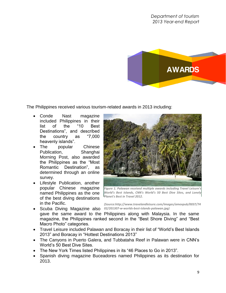

The Philippines received various tourism-related awards in 2013 including:

- Conde Nast magazine included Philippines in their list of the "10 Best Destinations", and described the country as "7,000 heavenly islands".
- The popular Chinese Publication, Shanghai Morning Post, also awarded the Philippines as the "Most Romantic Destination", as determined through an online survey.
- Lifestyle Publication, another popular Chinese magazine named Philippines as the one of the best diving destinations in the Pacific.



*Figure 1. Palawan received multiple awards including Travel Leisure's World's Best Islands, CNN's World's 50 Best Dive Sites, and Lonely Planet's Best in Travel 2012.* 

*(Source:http://www.travelandleisure.com/images/amexpub/0037/74*

- Scuba Diving Magazine also *02/201307-w-worlds-best-islands-palawan.jpg)*gave the same award to the Philippines along with Malaysia. In the same magazine, the Philippines ranked second in the "Best Shore Diving" and "Best Macro Photo" categories.
- Travel Leisure included Palawan and Boracay in their list of "World's Best Islands 2013" and Boracay in "Hottest Destinations 2013"
- The Canyons in Puerto Galera, and Tubbataha Reef in Palawan were in CNN's World's 50 Best Dive Sites.
- The New York Times listed Philippines in its "46 Places to Go in 2013".
- Spanish diving magazine Buceadores named Philippines as its destination for 2013.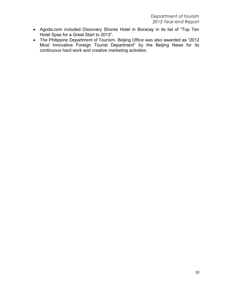- Agoda.com included Discovery Shores Hotel in Boracay in its list of "Top Ten Hotel Spas for a Great Start to 2013".
- The Philippine Department of Tourism- Beijing Office was also awarded as "2012 Most Innovative Foreign Tourist Department" by the Beijing News for its continuous hard work and creative marketing activities.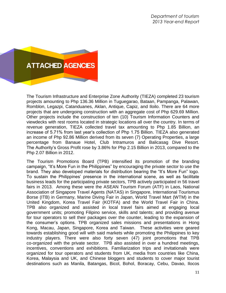

The Tourism Infrastructure and Enterprise Zone Authority (TIEZA) completed 23 tourism projects amounting to Php 136.36 Million in Tuguegarao, Bataan, Pampanga, Palawan, Romblon, Legazpi, Catanduanes, Aklan, Antique, Capiz, and Iloilo. There are 64 more projects that are undergoing construction with an aggregate cost of Php 629.69 Million. Other projects include the construction of ten (10) Tourism Information Counters and viewdecks with rest rooms located in strategic locations all over the country. In terms of revenue generation, TIEZA collected travel tax amounting to Php 1.85 Billion, an increase of 5.71% from last year's collection of Php 1.75 Billion. TIEZA also generated an income of Php 92.86 Million derived from its seven (7) Operating Properties, a large percentage from Banaue Hotel, Club Intramuros and Balicasag Dive Resort. The Authority's Gross Profit rose by 3.86% for Php 2.15 Billion in 2013, compared to the Php 2.07 Billion in 2012.

The Tourism Promotions Board (TPB) intensified its promotion of the branding campaign, "It's More Fun in the Philippines" by encouraging the private sector to use the brand. They also developed materials for distribution bearing the "It's More Fun" logo. To sustain the Philippines' presence in the international scene, as well as facilitate business leads for the participating private sectors, TPB actively participated in 56 travel fairs in 2013. Among these were the ASEAN Tourism Forum (ATF) in Laos, National Association of Singapore Travel Agents (NATAS) in Singapore, International Tourismus Borse (ITB) in Germany, Marine Diving Fair in Japan, World Travel Mart (WTM) in the United Kingdom, Korea Travel Fair (KOTFA) and the World Travel Fair in China. TPB also organized and assisted in local travel fairs aimed at engaging local government units; promoting Filipino service, skills and talents; and providing avenue for tour operators to sell their packages over the counter, leading to the expansion of the consumer's options. TPB organized sales missions and presentations in Hong Kong, Macau, Japan, Singapore, Korea and Taiwan. These activities were geared towards establishing good will with said markets while promoting the Philippines to key industry players. There were also forty seven (47) joint promotions that TPB co-organized with the private sector. TPB also assisted in over a hundred meetings, incentives, conventions and exhibitions. Familiarization trips and invitationals were organized for tour operators and students from UK, media from countries like China, Korea, Malaysia and UK, and Chinese bloggers and students to cover major tourist destinations such as Manila, Batangas, Bicol, Bohol, Boracay, Cebu, Davao, Ilocos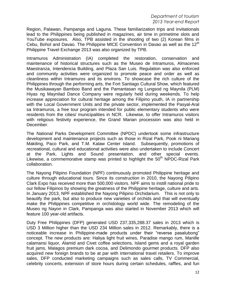*Department of tourism 2013 Year-end Report*

Region, Palawan, Pampanga and Laguna. These familiarization trips and invitationals lead to the Philippines being published in magazines, air time in primetime slots and YouTube exposures. Also, TPB assisted in the shooting of two (2) Korean films in Cebu, Bohol and Davao. The Philippine MICE Convention in Davao as well as the  $12<sup>m</sup>$ Philippine Travel Exchange 2013 was also organized by TPB.

Intramuros Administration (IA) completed the restoration, conservation and maintenance of historical structures such as the Museo de Intramuros, Almacenes Maestranza, Intendencia Building, and Plaza San Luis. Regulation was also enforced and community activities were organized to promote peace and order as well as cleanliness within Intramuros and its environs. To showcase the rich culture of the Philippines through the performing arts, the Fort Santiago Cultural Show, which featured the Musikawayan Bamboo Band and the Pamantasan ng Lungsod ng Maynila (PLM) Hiyas ng Maynilad Dance Company were regularly held during weekends. To help increase appreciation for cultural heritage among the Filipino youth, IA in partnership with the Local Government Units and the private sector, implemented the Pasyal-Aral sa Intramuros, a free tour program intended for public elementary students who were residents from the cities/ municipalities in NCR. Likewise, to offer Intramuros visitors with religious festivity experience, the Grand Marian procession was also held in December.

The National Parks Development Committee (NPDC) undertook some infrastructure development and maintenance projects such as those in Rizal Park, Pook ni Mariang Makiling, Paco Park, and T.M. Kalaw Center Island. Subsequently, promotions of recreational, cultural and educational activities were also undertaken to include Concert at the Park, Lights and Sound presentation, and other special events. Likewise, a commemorative stamp was printed to highlight the  $50<sup>th</sup>$  NPDC-Rizal Park collaboration.

The Nayong Pilipino Foundation (NPF) continuously promoted Philippine heritage and culture through educational tours. Since its construction in 2010, the Nayong Pilipino Clark Expo has received more than 500,000 visitors. NPF aims to instill national pride to our fellow Filipinos by showing the greatness of the Philippine heritage, culture and arts. In January 2013, NPF established the Nayong Pilipino Orchidarium. This is not only to beautify the park, but also to produce new varieties of orchids and that will eventually make the Philippines competitive in orchidology world wide. The remodeling of the Museo ng Nayon in Clark, Pampanga was also started in November 2013 which will feature 100 year-old artifacts.

Duty Free Philippines (DFP) generated USD 237,335,288.37 sales in 2013 which is USD 3 Million higher than the USD 234 Million sales in 2012. Remarkably, there is a noticeable increase in Philippine-made products under their "reverse pasalubong" concept. The new products are: Haliya light fruit wines, Paradise mango rum, Manille calamansi liquor, Alamid and Civet coffee selections, Island gems and a royal garden fruit jams, Malagos premium dark cocoa, and Delimondo gourmet products. DFP also acquired new foreign brands to be at par with international travel retailers. To improve sales, DFP conducted marketing campaigns such as sales calls, TV Commercial, celebrity concerts, extension of store hours during certain schedules, raffles, and fun